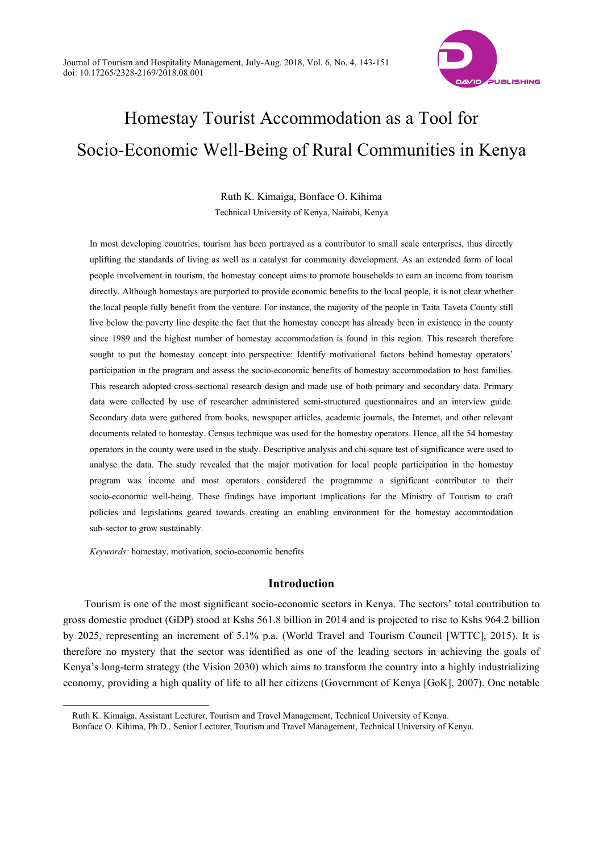

# Homestay Tourist Accommodation as a Tool for Socio-Economic Well-Being of Rural Communities in Kenya

Ruth K. Kimaiga, Bonface O. Kihima Technical University of Kenya, Nairobi, Kenya

In most developing countries, tourism has been portrayed as a contributor to small scale enterprises, thus directly uplifting the standards of living as well as a catalyst for community development. As an extended form of local people involvement in tourism, the homestay concept aims to promote households to earn an income from tourism directly. Although homestays are purported to provide economic benefits to the local people, it is not clear whether the local people fully benefit from the venture. For instance, the majority of the people in Taita Taveta County still live below the poverty line despite the fact that the homestay concept has already been in existence in the county since 1989 and the highest number of homestay accommodation is found in this region. This research therefore sought to put the homestay concept into perspective: Identify motivational factors behind homestay operators' participation in the program and assess the socio-economic benefits of homestay accommodation to host families. This research adopted cross-sectional research design and made use of both primary and secondary data. Primary data were collected by use of researcher administered semi-structured questionnaires and an interview guide. Secondary data were gathered from books, newspaper articles, academic journals, the Internet, and other relevant documents related to homestay. Census technique was used for the homestay operators. Hence, all the 54 homestay operators in the county were used in the study. Descriptive analysis and chi-square test of significance were used to analyse the data. The study revealed that the major motivation for local people participation in the homestay program was income and most operators considered the programme a significant contributor to their socio-economic well-being. These findings have important implications for the Ministry of Tourism to craft policies and legislations geared towards creating an enabling environment for the homestay accommodation sub-sector to grow sustainably.

*Keywords:* homestay, motivation, socio-economic benefits

 $\overline{a}$ 

# **Introduction**

Tourism is one of the most significant socio-economic sectors in Kenya. The sectors' total contribution to gross domestic product (GDP) stood at Kshs 561.8 billion in 2014 and is projected to rise to Kshs 964.2 billion by 2025, representing an increment of 5.1% p.a. (World Travel and Tourism Council [WTTC], 2015). It is therefore no mystery that the sector was identified as one of the leading sectors in achieving the goals of Kenya's long-term strategy (the Vision 2030) which aims to transform the country into a highly industrializing economy, providing a high quality of life to all her citizens (Government of Kenya [GoK], 2007). One notable

Ruth K. Kimaiga, Assistant Lecturer, Tourism and Travel Management, Technical University of Kenya.

Bonface O. Kihima, Ph.D., Senior Lecturer, Tourism and Travel Management, Technical University of Kenya.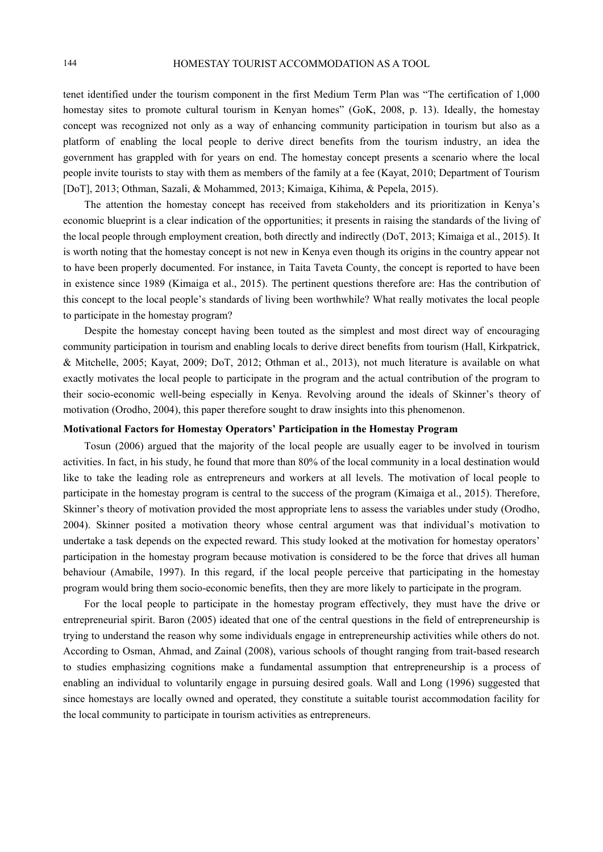tenet identified under the tourism component in the first Medium Term Plan was "The certification of 1,000 homestay sites to promote cultural tourism in Kenyan homes" (GoK, 2008, p. 13). Ideally, the homestay concept was recognized not only as a way of enhancing community participation in tourism but also as a platform of enabling the local people to derive direct benefits from the tourism industry, an idea the government has grappled with for years on end. The homestay concept presents a scenario where the local people invite tourists to stay with them as members of the family at a fee (Kayat, 2010; Department of Tourism [DoT], 2013; Othman, Sazali, & Mohammed, 2013; Kimaiga, Kihima, & Pepela, 2015).

The attention the homestay concept has received from stakeholders and its prioritization in Kenya's economic blueprint is a clear indication of the opportunities; it presents in raising the standards of the living of the local people through employment creation, both directly and indirectly (DoT, 2013; Kimaiga et al., 2015). It is worth noting that the homestay concept is not new in Kenya even though its origins in the country appear not to have been properly documented. For instance, in Taita Taveta County, the concept is reported to have been in existence since 1989 (Kimaiga et al., 2015). The pertinent questions therefore are: Has the contribution of this concept to the local people's standards of living been worthwhile? What really motivates the local people to participate in the homestay program?

Despite the homestay concept having been touted as the simplest and most direct way of encouraging community participation in tourism and enabling locals to derive direct benefits from tourism (Hall, Kirkpatrick, & Mitchelle, 2005; Kayat, 2009; DoT, 2012; Othman et al., 2013), not much literature is available on what exactly motivates the local people to participate in the program and the actual contribution of the program to their socio-economic well-being especially in Kenya. Revolving around the ideals of Skinner's theory of motivation (Orodho, 2004), this paper therefore sought to draw insights into this phenomenon.

# **Motivational Factors for Homestay Operators' Participation in the Homestay Program**

Tosun (2006) argued that the majority of the local people are usually eager to be involved in tourism activities. In fact, in his study, he found that more than 80% of the local community in a local destination would like to take the leading role as entrepreneurs and workers at all levels. The motivation of local people to participate in the homestay program is central to the success of the program (Kimaiga et al., 2015). Therefore, Skinner's theory of motivation provided the most appropriate lens to assess the variables under study (Orodho, 2004). Skinner posited a motivation theory whose central argument was that individual's motivation to undertake a task depends on the expected reward. This study looked at the motivation for homestay operators' participation in the homestay program because motivation is considered to be the force that drives all human behaviour (Amabile, 1997). In this regard, if the local people perceive that participating in the homestay program would bring them socio-economic benefits, then they are more likely to participate in the program.

For the local people to participate in the homestay program effectively, they must have the drive or entrepreneurial spirit. Baron (2005) ideated that one of the central questions in the field of entrepreneurship is trying to understand the reason why some individuals engage in entrepreneurship activities while others do not. According to Osman, Ahmad, and Zainal (2008), various schools of thought ranging from trait-based research to studies emphasizing cognitions make a fundamental assumption that entrepreneurship is a process of enabling an individual to voluntarily engage in pursuing desired goals. Wall and Long (1996) suggested that since homestays are locally owned and operated, they constitute a suitable tourist accommodation facility for the local community to participate in tourism activities as entrepreneurs.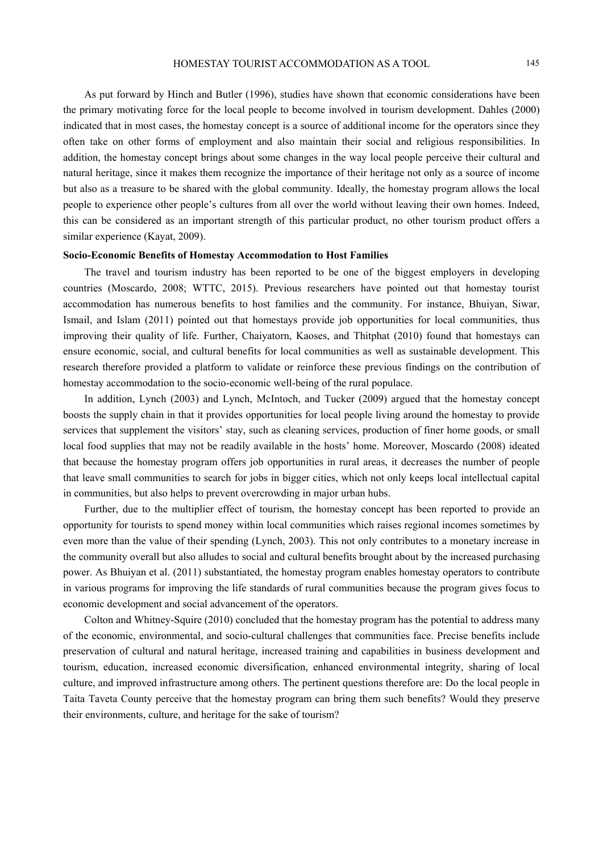As put forward by Hinch and Butler (1996), studies have shown that economic considerations have been the primary motivating force for the local people to become involved in tourism development. Dahles (2000) indicated that in most cases, the homestay concept is a source of additional income for the operators since they often take on other forms of employment and also maintain their social and religious responsibilities. In addition, the homestay concept brings about some changes in the way local people perceive their cultural and natural heritage, since it makes them recognize the importance of their heritage not only as a source of income but also as a treasure to be shared with the global community. Ideally, the homestay program allows the local people to experience other people's cultures from all over the world without leaving their own homes. Indeed, this can be considered as an important strength of this particular product, no other tourism product offers a similar experience (Kayat, 2009).

#### **Socio-Economic Benefits of Homestay Accommodation to Host Families**

The travel and tourism industry has been reported to be one of the biggest employers in developing countries (Moscardo, 2008; WTTC, 2015). Previous researchers have pointed out that homestay tourist accommodation has numerous benefits to host families and the community. For instance, Bhuiyan, Siwar, Ismail, and Islam (2011) pointed out that homestays provide job opportunities for local communities, thus improving their quality of life. Further, Chaiyatorn, Kaoses, and Thitphat (2010) found that homestays can ensure economic, social, and cultural benefits for local communities as well as sustainable development. This research therefore provided a platform to validate or reinforce these previous findings on the contribution of homestay accommodation to the socio-economic well-being of the rural populace.

In addition, Lynch (2003) and Lynch, McIntoch, and Tucker (2009) argued that the homestay concept boosts the supply chain in that it provides opportunities for local people living around the homestay to provide services that supplement the visitors' stay, such as cleaning services, production of finer home goods, or small local food supplies that may not be readily available in the hosts' home. Moreover, Moscardo (2008) ideated that because the homestay program offers job opportunities in rural areas, it decreases the number of people that leave small communities to search for jobs in bigger cities, which not only keeps local intellectual capital in communities, but also helps to prevent overcrowding in major urban hubs.

Further, due to the multiplier effect of tourism, the homestay concept has been reported to provide an opportunity for tourists to spend money within local communities which raises regional incomes sometimes by even more than the value of their spending (Lynch, 2003). This not only contributes to a monetary increase in the community overall but also alludes to social and cultural benefits brought about by the increased purchasing power. As Bhuiyan et al. (2011) substantiated, the homestay program enables homestay operators to contribute in various programs for improving the life standards of rural communities because the program gives focus to economic development and social advancement of the operators.

Colton and Whitney-Squire (2010) concluded that the homestay program has the potential to address many of the economic, environmental, and socio-cultural challenges that communities face. Precise benefits include preservation of cultural and natural heritage, increased training and capabilities in business development and tourism, education, increased economic diversification, enhanced environmental integrity, sharing of local culture, and improved infrastructure among others. The pertinent questions therefore are: Do the local people in Taita Taveta County perceive that the homestay program can bring them such benefits? Would they preserve their environments, culture, and heritage for the sake of tourism?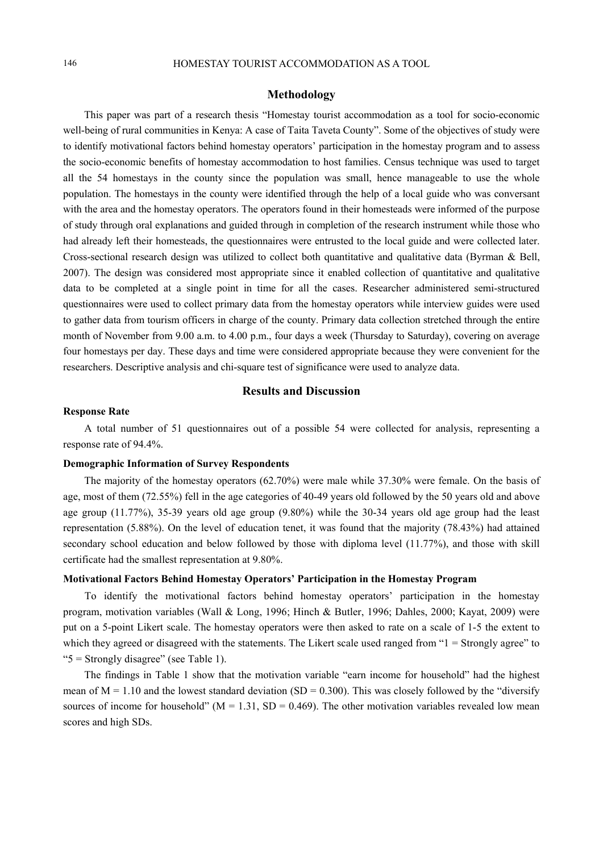# **Methodology**

This paper was part of a research thesis "Homestay tourist accommodation as a tool for socio-economic well-being of rural communities in Kenya: A case of Taita Taveta County". Some of the objectives of study were to identify motivational factors behind homestay operators' participation in the homestay program and to assess the socio-economic benefits of homestay accommodation to host families. Census technique was used to target all the 54 homestays in the county since the population was small, hence manageable to use the whole population. The homestays in the county were identified through the help of a local guide who was conversant with the area and the homestay operators. The operators found in their homesteads were informed of the purpose of study through oral explanations and guided through in completion of the research instrument while those who had already left their homesteads, the questionnaires were entrusted to the local guide and were collected later. Cross-sectional research design was utilized to collect both quantitative and qualitative data (Byrman & Bell, 2007). The design was considered most appropriate since it enabled collection of quantitative and qualitative data to be completed at a single point in time for all the cases. Researcher administered semi-structured questionnaires were used to collect primary data from the homestay operators while interview guides were used to gather data from tourism officers in charge of the county. Primary data collection stretched through the entire month of November from 9.00 a.m. to 4.00 p.m., four days a week (Thursday to Saturday), covering on average four homestays per day. These days and time were considered appropriate because they were convenient for the researchers. Descriptive analysis and chi-square test of significance were used to analyze data.

### **Results and Discussion**

#### **Response Rate**

A total number of 51 questionnaires out of a possible 54 were collected for analysis, representing a response rate of 94.4%.

# **Demographic Information of Survey Respondents**

The majority of the homestay operators (62.70%) were male while 37.30% were female. On the basis of age, most of them (72.55%) fell in the age categories of 40-49 years old followed by the 50 years old and above age group (11.77%), 35-39 years old age group (9.80%) while the 30-34 years old age group had the least representation (5.88%). On the level of education tenet, it was found that the majority (78.43%) had attained secondary school education and below followed by those with diploma level (11.77%), and those with skill certificate had the smallest representation at 9.80%.

#### **Motivational Factors Behind Homestay Operators' Participation in the Homestay Program**

To identify the motivational factors behind homestay operators' participation in the homestay program, motivation variables (Wall & Long, 1996; Hinch & Butler, 1996; Dahles, 2000; Kayat, 2009) were put on a 5-point Likert scale. The homestay operators were then asked to rate on a scale of 1-5 the extent to which they agreed or disagreed with the statements. The Likert scale used ranged from "1 = Strongly agree" to "5 = Strongly disagree" (see Table 1).

The findings in Table 1 show that the motivation variable "earn income for household" had the highest mean of  $M = 1.10$  and the lowest standard deviation (SD = 0.300). This was closely followed by the "diversify" sources of income for household" ( $M = 1.31$ ,  $SD = 0.469$ ). The other motivation variables revealed low mean scores and high SDs.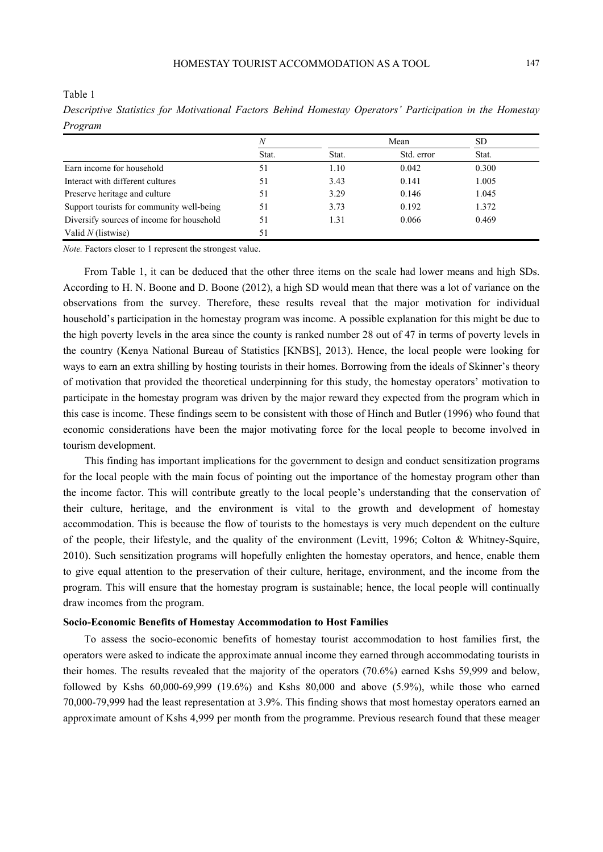Table 1

*N* Mean SD Stat. Stat. Std. error Stat. Earn income for household 51 1.10 0.042 0.300 Interact with different cultures 51 3.43 0.141 1.005 Preserve heritage and culture 51 3.29 0.146 1.045 Support tourists for community well-being 51 3.73 0.192 1.372 Diversify sources of income for household 51 1.31 0.066 0.469 Valid *N* (listwise) 51

*Descriptive Statistics for Motivational Factors Behind Homestay Operators' Participation in the Homestay Program* 

*Note.* Factors closer to 1 represent the strongest value.

From Table 1, it can be deduced that the other three items on the scale had lower means and high SDs. According to H. N. Boone and D. Boone (2012), a high SD would mean that there was a lot of variance on the observations from the survey. Therefore, these results reveal that the major motivation for individual household's participation in the homestay program was income. A possible explanation for this might be due to the high poverty levels in the area since the county is ranked number 28 out of 47 in terms of poverty levels in the country (Kenya National Bureau of Statistics [KNBS], 2013). Hence, the local people were looking for ways to earn an extra shilling by hosting tourists in their homes. Borrowing from the ideals of Skinner's theory of motivation that provided the theoretical underpinning for this study, the homestay operators' motivation to participate in the homestay program was driven by the major reward they expected from the program which in this case is income. These findings seem to be consistent with those of Hinch and Butler (1996) who found that economic considerations have been the major motivating force for the local people to become involved in tourism development.

This finding has important implications for the government to design and conduct sensitization programs for the local people with the main focus of pointing out the importance of the homestay program other than the income factor. This will contribute greatly to the local people's understanding that the conservation of their culture, heritage, and the environment is vital to the growth and development of homestay accommodation. This is because the flow of tourists to the homestays is very much dependent on the culture of the people, their lifestyle, and the quality of the environment (Levitt, 1996; Colton & Whitney-Squire, 2010). Such sensitization programs will hopefully enlighten the homestay operators, and hence, enable them to give equal attention to the preservation of their culture, heritage, environment, and the income from the program. This will ensure that the homestay program is sustainable; hence, the local people will continually draw incomes from the program.

#### **Socio-Economic Benefits of Homestay Accommodation to Host Families**

To assess the socio-economic benefits of homestay tourist accommodation to host families first, the operators were asked to indicate the approximate annual income they earned through accommodating tourists in their homes. The results revealed that the majority of the operators (70.6%) earned Kshs 59,999 and below, followed by Kshs 60,000-69,999 (19.6%) and Kshs 80,000 and above (5.9%), while those who earned 70,000-79,999 had the least representation at 3.9%. This finding shows that most homestay operators earned an approximate amount of Kshs 4,999 per month from the programme. Previous research found that these meager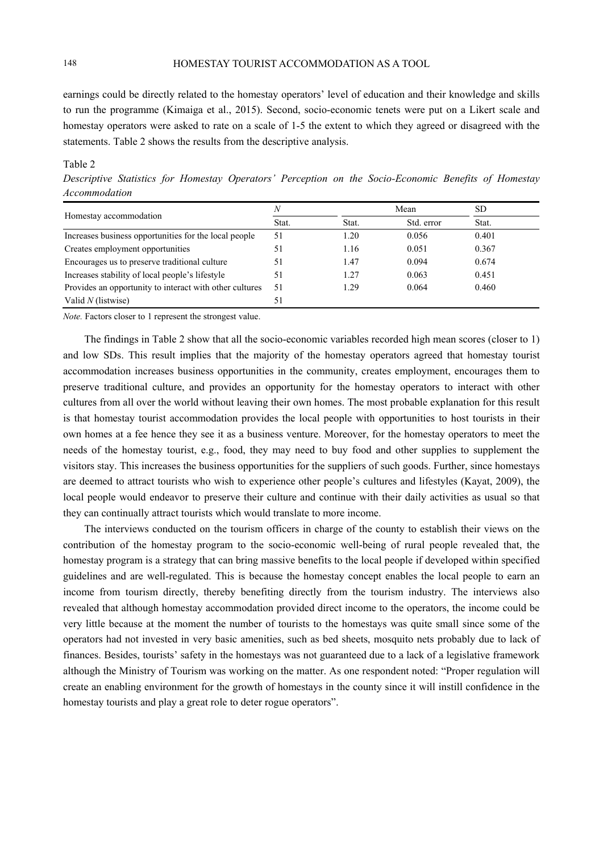earnings could be directly related to the homestay operators' level of education and their knowledge and skills to run the programme (Kimaiga et al., 2015). Second, socio-economic tenets were put on a Likert scale and homestay operators were asked to rate on a scale of 1-5 the extent to which they agreed or disagreed with the statements. Table 2 shows the results from the descriptive analysis.

#### Table 2

*Descriptive Statistics for Homestay Operators' Perception on the Socio-Economic Benefits of Homestay Accommodation* 

| Homestay accommodation                                  | N     |       | Mean       |       | <b>SD</b> |  |
|---------------------------------------------------------|-------|-------|------------|-------|-----------|--|
|                                                         | Stat. | Stat. | Std. error | Stat. |           |  |
| Increases business opportunities for the local people   | 51    | .20   | 0.056      | 0.401 |           |  |
| Creates employment opportunities                        | 51    | 1.16  | 0.051      | 0.367 |           |  |
| Encourages us to preserve traditional culture           | 51    | 1.47  | 0.094      | 0.674 |           |  |
| Increases stability of local people's lifestyle         | 51    | 1.27  | 0.063      | 0.451 |           |  |
| Provides an opportunity to interact with other cultures | 51    | 1 2.9 | 0.064      | 0.460 |           |  |
| Valid $N$ (listwise)                                    |       |       |            |       |           |  |

*Note.* Factors closer to 1 represent the strongest value.

The findings in Table 2 show that all the socio-economic variables recorded high mean scores (closer to 1) and low SDs. This result implies that the majority of the homestay operators agreed that homestay tourist accommodation increases business opportunities in the community, creates employment, encourages them to preserve traditional culture, and provides an opportunity for the homestay operators to interact with other cultures from all over the world without leaving their own homes. The most probable explanation for this result is that homestay tourist accommodation provides the local people with opportunities to host tourists in their own homes at a fee hence they see it as a business venture. Moreover, for the homestay operators to meet the needs of the homestay tourist, e.g., food, they may need to buy food and other supplies to supplement the visitors stay. This increases the business opportunities for the suppliers of such goods. Further, since homestays are deemed to attract tourists who wish to experience other people's cultures and lifestyles (Kayat, 2009), the local people would endeavor to preserve their culture and continue with their daily activities as usual so that they can continually attract tourists which would translate to more income.

The interviews conducted on the tourism officers in charge of the county to establish their views on the contribution of the homestay program to the socio-economic well-being of rural people revealed that, the homestay program is a strategy that can bring massive benefits to the local people if developed within specified guidelines and are well-regulated. This is because the homestay concept enables the local people to earn an income from tourism directly, thereby benefiting directly from the tourism industry. The interviews also revealed that although homestay accommodation provided direct income to the operators, the income could be very little because at the moment the number of tourists to the homestays was quite small since some of the operators had not invested in very basic amenities, such as bed sheets, mosquito nets probably due to lack of finances. Besides, tourists' safety in the homestays was not guaranteed due to a lack of a legislative framework although the Ministry of Tourism was working on the matter. As one respondent noted: "Proper regulation will create an enabling environment for the growth of homestays in the county since it will instill confidence in the homestay tourists and play a great role to deter rogue operators".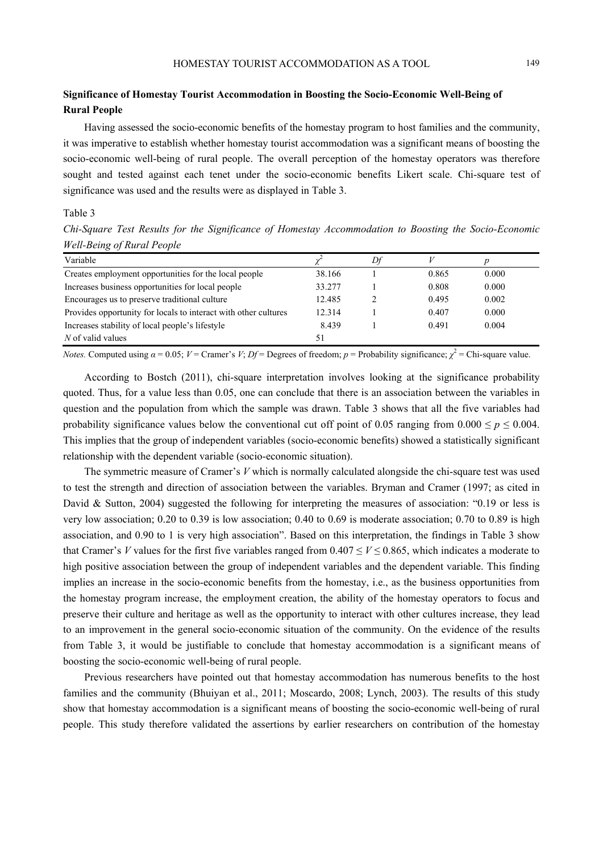# **Significance of Homestay Tourist Accommodation in Boosting the Socio-Economic Well-Being of Rural People**

Having assessed the socio-economic benefits of the homestay program to host families and the community, it was imperative to establish whether homestay tourist accommodation was a significant means of boosting the socio-economic well-being of rural people. The overall perception of the homestay operators was therefore sought and tested against each tenet under the socio-economic benefits Likert scale. Chi-square test of significance was used and the results were as displayed in Table 3.

# Table 3

*Chi-Square Test Results for the Significance of Homestay Accommodation to Boosting the Socio-Economic Well-Being of Rural People* 

| Variable                                                        |        | Df |       |       |
|-----------------------------------------------------------------|--------|----|-------|-------|
| Creates employment opportunities for the local people           | 38.166 |    | 0.865 | 0.000 |
| Increases business opportunities for local people               | 33.277 |    | 0.808 | 0.000 |
| Encourages us to preserve traditional culture                   | 12.485 |    | 0.495 | 0.002 |
| Provides opportunity for locals to interact with other cultures | 12.314 |    | 0.407 | 0.000 |
| Increases stability of local people's lifestyle                 | 8.439  |    | 0.491 | 0.004 |
| $N$ of valid values                                             | 51     |    |       |       |

*Notes.* Computed using  $\alpha = 0.05$ ;  $V =$  Cramer's  $V$ ;  $Df =$  Degrees of freedom;  $p =$  Probability significance;  $\chi^2 =$  Chi-square value.

According to Bostch (2011), chi-square interpretation involves looking at the significance probability quoted. Thus, for a value less than 0.05, one can conclude that there is an association between the variables in question and the population from which the sample was drawn. Table 3 shows that all the five variables had probability significance values below the conventional cut off point of 0.05 ranging from  $0.000 \le p \le 0.004$ . This implies that the group of independent variables (socio-economic benefits) showed a statistically significant relationship with the dependent variable (socio-economic situation).

The symmetric measure of Cramer's *V* which is normally calculated alongside the chi-square test was used to test the strength and direction of association between the variables. Bryman and Cramer (1997; as cited in David & Sutton, 2004) suggested the following for interpreting the measures of association: "0.19 or less is very low association; 0.20 to 0.39 is low association; 0.40 to 0.69 is moderate association; 0.70 to 0.89 is high association, and 0.90 to 1 is very high association". Based on this interpretation, the findings in Table 3 show that Cramer's *V* values for the first five variables ranged from  $0.407 \le V \le 0.865$ , which indicates a moderate to high positive association between the group of independent variables and the dependent variable. This finding implies an increase in the socio-economic benefits from the homestay, i.e., as the business opportunities from the homestay program increase, the employment creation, the ability of the homestay operators to focus and preserve their culture and heritage as well as the opportunity to interact with other cultures increase, they lead to an improvement in the general socio-economic situation of the community. On the evidence of the results from Table 3, it would be justifiable to conclude that homestay accommodation is a significant means of boosting the socio-economic well-being of rural people.

Previous researchers have pointed out that homestay accommodation has numerous benefits to the host families and the community (Bhuiyan et al., 2011; Moscardo, 2008; Lynch, 2003). The results of this study show that homestay accommodation is a significant means of boosting the socio-economic well-being of rural people. This study therefore validated the assertions by earlier researchers on contribution of the homestay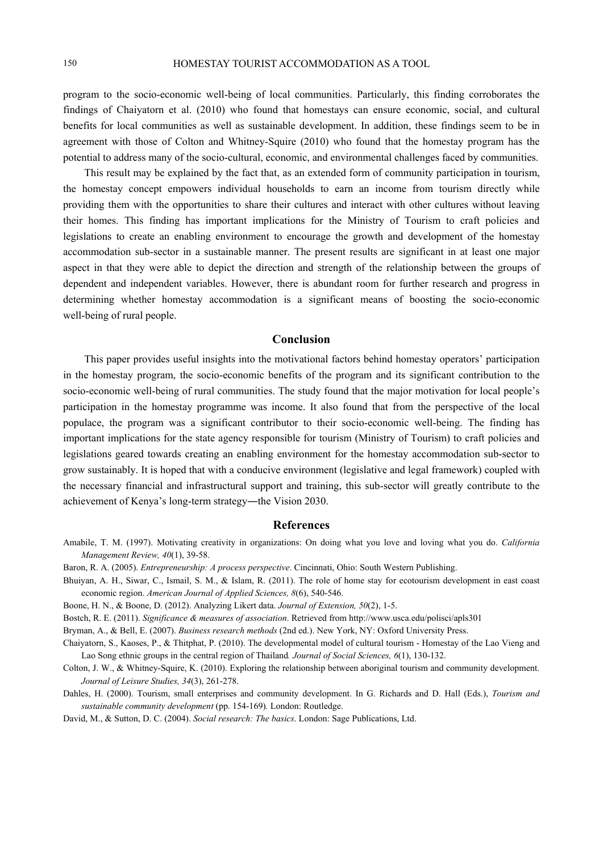program to the socio-economic well-being of local communities. Particularly, this finding corroborates the findings of Chaiyatorn et al. (2010) who found that homestays can ensure economic, social, and cultural benefits for local communities as well as sustainable development. In addition, these findings seem to be in agreement with those of Colton and Whitney-Squire (2010) who found that the homestay program has the potential to address many of the socio-cultural, economic, and environmental challenges faced by communities.

This result may be explained by the fact that, as an extended form of community participation in tourism, the homestay concept empowers individual households to earn an income from tourism directly while providing them with the opportunities to share their cultures and interact with other cultures without leaving their homes. This finding has important implications for the Ministry of Tourism to craft policies and legislations to create an enabling environment to encourage the growth and development of the homestay accommodation sub-sector in a sustainable manner. The present results are significant in at least one major aspect in that they were able to depict the direction and strength of the relationship between the groups of dependent and independent variables. However, there is abundant room for further research and progress in determining whether homestay accommodation is a significant means of boosting the socio-economic well-being of rural people.

# **Conclusion**

This paper provides useful insights into the motivational factors behind homestay operators' participation in the homestay program, the socio-economic benefits of the program and its significant contribution to the socio-economic well-being of rural communities. The study found that the major motivation for local people's participation in the homestay programme was income. It also found that from the perspective of the local populace, the program was a significant contributor to their socio-economic well-being. The finding has important implications for the state agency responsible for tourism (Ministry of Tourism) to craft policies and legislations geared towards creating an enabling environment for the homestay accommodation sub-sector to grow sustainably. It is hoped that with a conducive environment (legislative and legal framework) coupled with the necessary financial and infrastructural support and training, this sub-sector will greatly contribute to the achievement of Kenya's long-term strategy―the Vision 2030.

# **References**

- Amabile, T. M. (1997). Motivating creativity in organizations: On doing what you love and loving what you do. *California Management Review, 40*(1), 39-58.
- Baron, R. A. (2005). *Entrepreneurship: A process perspective*. Cincinnati, Ohio: South Western Publishing.
- Bhuiyan, A. H., Siwar, C., Ismail, S. M., & Islam, R. (2011). The role of home stay for ecotourism development in east coast economic region. *American Journal of Applied Sciences, 8*(6), 540-546.
- Boone, H. N., & Boone, D. (2012). Analyzing Likert data. *Journal of Extension, 50*(2), 1-5.
- Bostch, R. E. (2011). *Significance & measures of association*. Retrieved from http://www.usca.edu/polisci/apls301

Bryman, A., & Bell, E. (2007). *Business research methods* (2nd ed.). New York, NY: Oxford University Press.

Chaiyatorn, S., Kaoses, P., & Thitphat, P. (2010). The developmental model of cultural tourism - Homestay of the Lao Vieng and Lao Song ethnic groups in the central region of Thailand*. Journal of Social Sciences, 6*(1), 130-132.

- Colton, J. W., & Whitney-Squire, K. (2010). Exploring the relationship between aboriginal tourism and community development. *Journal of Leisure Studies, 34*(3), 261-278.
- Dahles, H. (2000). Tourism, small enterprises and community development. In G. Richards and D. Hall (Eds.), *Tourism and sustainable community development* (pp. 154-169)*.* London: Routledge.

David, M., & Sutton, D. C. (2004). *Social research: The basics*. London: Sage Publications, Ltd.